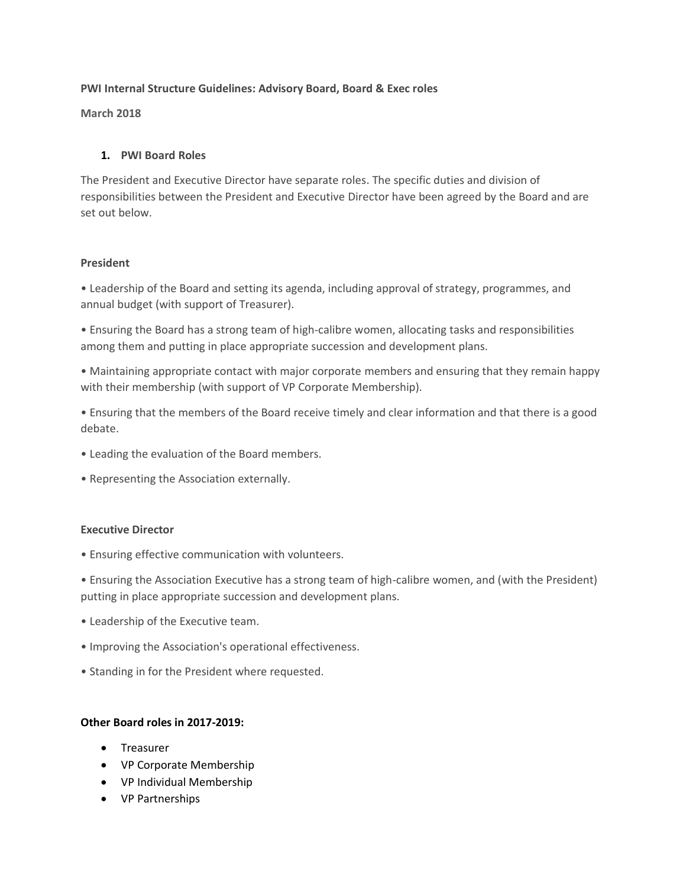### **PWI Internal Structure Guidelines: Advisory Board, Board & Exec roles**

**March 2018** 

### **1. PWI Board Roles**

The President and Executive Director have separate roles. The specific duties and division of responsibilities between the President and Executive Director have been agreed by the Board and are set out below.

#### **President**

• Leadership of the Board and setting its agenda, including approval of strategy, programmes, and annual budget (with support of Treasurer).

• Ensuring the Board has a strong team of high-calibre women, allocating tasks and responsibilities among them and putting in place appropriate succession and development plans.

• Maintaining appropriate contact with major corporate members and ensuring that they remain happy with their membership (with support of VP Corporate Membership).

• Ensuring that the members of the Board receive timely and clear information and that there is a good debate.

- Leading the evaluation of the Board members.
- Representing the Association externally.

### **Executive Director**

• Ensuring effective communication with volunteers.

• Ensuring the Association Executive has a strong team of high-calibre women, and (with the President) putting in place appropriate succession and development plans.

- Leadership of the Executive team.
- Improving the Association's operational effectiveness.
- Standing in for the President where requested.

### **Other Board roles in 2017-2019:**

- Treasurer
- VP Corporate Membership
- VP Individual Membership
- VP Partnerships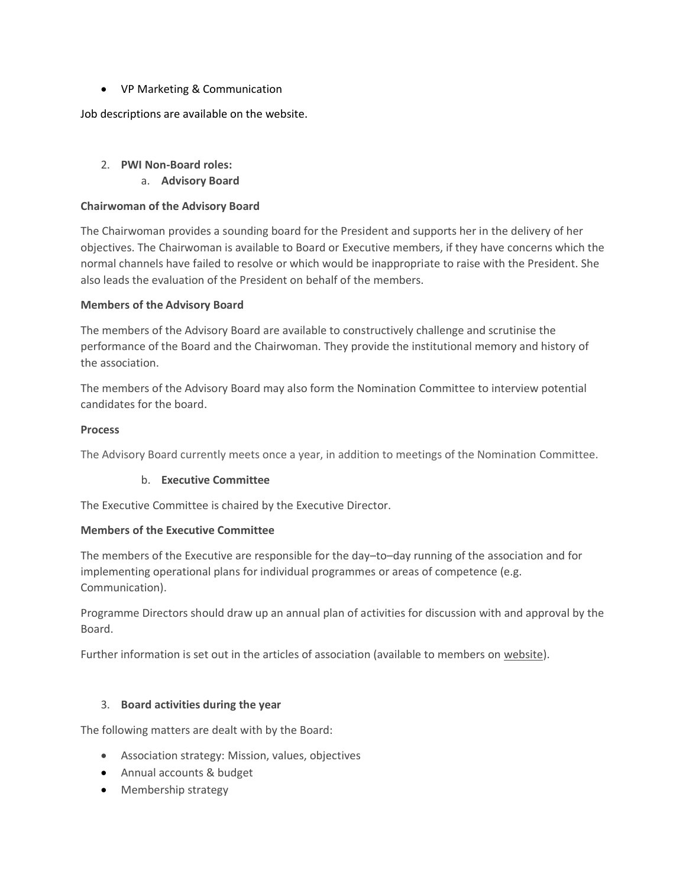# • VP Marketing & Communication

Job descriptions are available on the website.

# 2. **PWI Non-Board roles:**

a. **Advisory Board**

## **Chairwoman of the Advisory Board**

The Chairwoman provides a sounding board for the President and supports her in the delivery of her objectives. The Chairwoman is available to Board or Executive members, if they have concerns which the normal channels have failed to resolve or which would be inappropriate to raise with the President. She also leads the evaluation of the President on behalf of the members.

## **Members of the Advisory Board**

The members of the Advisory Board are available to constructively challenge and scrutinise the performance of the Board and the Chairwoman. They provide the institutional memory and history of the association.

The members of the Advisory Board may also form the Nomination Committee to interview potential candidates for the board.

### **Process**

The Advisory Board currently meets once a year, in addition to meetings of the Nomination Committee.

## b. **Executive Committee**

The Executive Committee is chaired by the Executive Director.

### **Members of the Executive Committee**

The members of the Executive are responsible for the day–to–day running of the association and for implementing operational plans for individual programmes or areas of competence (e.g. Communication).

Programme Directors should draw up an annual plan of activities for discussion with and approval by the Board.

Further information is set out in the articles of association (available to members on [website\)](https://www.pwi.be/Governance).

## 3. **Board activities during the year**

The following matters are dealt with by the Board:

- Association strategy: Mission, values, objectives
- Annual accounts & budget
- Membership strategy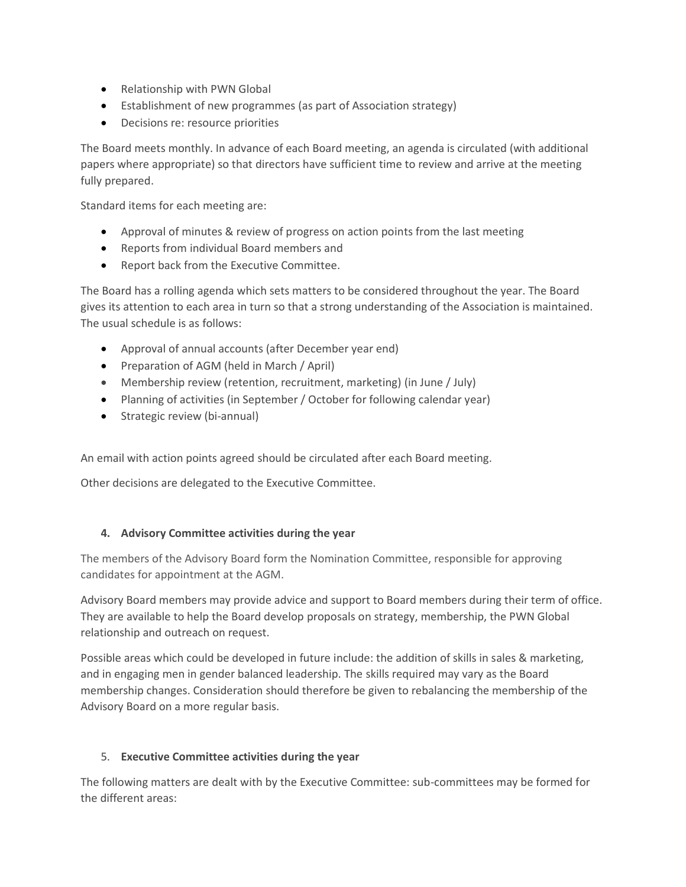- Relationship with PWN Global
- Establishment of new programmes (as part of Association strategy)
- Decisions re: resource priorities

The Board meets monthly. In advance of each Board meeting, an agenda is circulated (with additional papers where appropriate) so that directors have sufficient time to review and arrive at the meeting fully prepared.

Standard items for each meeting are:

- Approval of minutes & review of progress on action points from the last meeting
- Reports from individual Board members and
- Report back from the Executive Committee.

The Board has a rolling agenda which sets matters to be considered throughout the year. The Board gives its attention to each area in turn so that a strong understanding of the Association is maintained. The usual schedule is as follows:

- Approval of annual accounts (after December year end)
- Preparation of AGM (held in March / April)
- Membership review (retention, recruitment, marketing) (in June / July)
- Planning of activities (in September / October for following calendar year)
- Strategic review (bi-annual)

An email with action points agreed should be circulated after each Board meeting.

Other decisions are delegated to the Executive Committee.

## **4. Advisory Committee activities during the year**

The members of the Advisory Board form the Nomination Committee, responsible for approving candidates for appointment at the AGM.

Advisory Board members may provide advice and support to Board members during their term of office. They are available to help the Board develop proposals on strategy, membership, the PWN Global relationship and outreach on request.

Possible areas which could be developed in future include: the addition of skills in sales & marketing, and in engaging men in gender balanced leadership. The skills required may vary as the Board membership changes. Consideration should therefore be given to rebalancing the membership of the Advisory Board on a more regular basis.

## 5. **Executive Committee activities during the year**

The following matters are dealt with by the Executive Committee: sub-committees may be formed for the different areas: